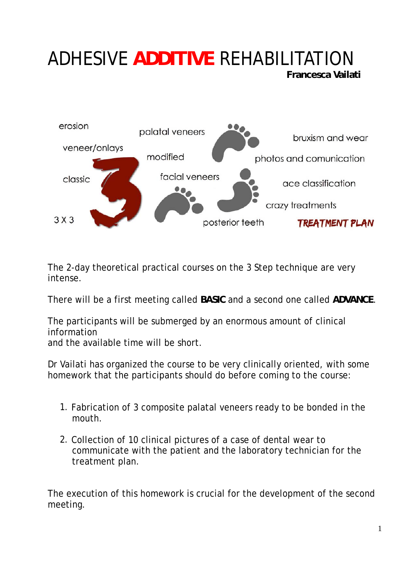# ADHESIVE **ADDITIVE** REHABILITATION

**Francesca Vailati**



The 2-day theoretical practical courses on the 3 Step technique are very intense.

There will be a first meeting called **BASIC** and a second one called **ADVANCE**.

The participants will be submerged by an enormous amount of clinical information

and the available time will be short.

Dr Vailati has organized the course to be very clinically oriented, with some homework that the participants should do before coming to the course:

- 1. Fabrication of 3 composite palatal veneers ready to be bonded in the mouth.
- 2. Collection of 10 clinical pictures of a case of dental wear to communicate with the patient and the laboratory technician for the treatment plan.

The execution of this homework is crucial for the development of the second meeting.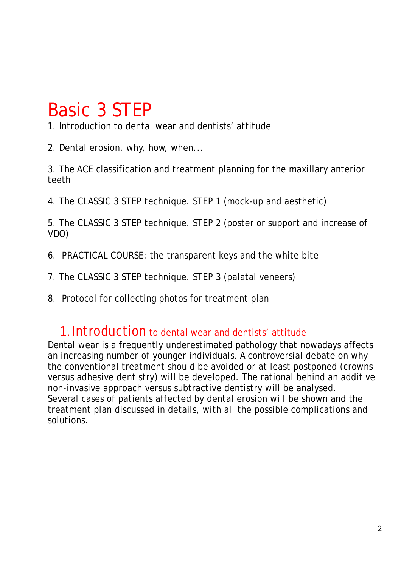## Basic 3 STEP

1. Introduction to dental wear and dentists' attitude

2. Dental erosion, why, how, when...

3. The ACE classification and treatment planning for the maxillary anterior teeth

4. The CLASSIC 3 STEP technique. STEP 1 (mock-up and aesthetic)

5. The CLASSIC 3 STEP technique. STEP 2 (posterior support and increase of VDO)

- 6. PRACTICAL COURSE: the transparent keys and the white bite
- 7. The CLASSIC 3 STEP technique. STEP 3 (palatal veneers)
- 8. Protocol for collecting photos for treatment plan

#### 1.Introduction to dental wear and dentists' attitude

Dental wear is a frequently underestimated pathology that nowadays affects an increasing number of younger individuals. A controversial debate on why the conventional treatment should be avoided or at least postponed (crowns versus adhesive dentistry) will be developed. The rational behind an additive non-invasive approach versus subtractive dentistry will be analysed. Several cases of patients affected by dental erosion will be shown and the treatment plan discussed in details, with all the possible complications and solutions.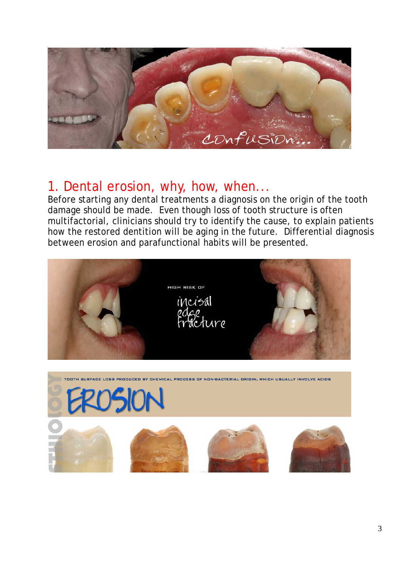

### 1. Dental erosion, why, how, when...

Before starting any dental treatments a diagnosis on the origin of the tooth damage should be made. Even though loss of tooth structure is often multifactorial, clinicians should try to identify the cause, to explain patients how the restored dentition will be aging in the future. Differential diagnosis between erosion and parafunctional habits will be presented.



.<br>TOOTH SURFACE LOSS PRODUCED BY CHEMICAL PROCESS OF NON-BACTERIAL ORIGIN, WHICH USUALLY INVOLVE ACIDS



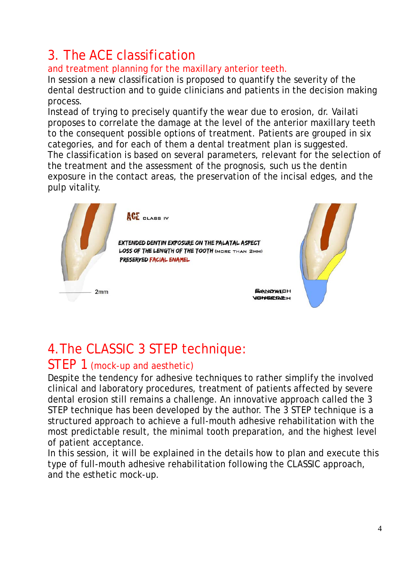## 3. The ACE classification

#### and treatment planning for the maxillary anterior teeth.

In session a new classification is proposed to quantify the severity of the dental destruction and to guide clinicians and patients in the decision making process.

Instead of trying to precisely quantify the wear due to erosion, dr. Vailati proposes to correlate the damage at the level of the anterior maxillary teeth to the consequent possible options of treatment. Patients are grouped in six categories, and for each of them a dental treatment plan is suggested. The classification is based on several parameters, relevant for the selection of the treatment and the assessment of the prognosis, such us the dentin exposure in the contact areas, the preservation of the incisal edges, and the pulp vitality.



## 4.The CLASSIC 3 STEP technique:

#### STEP 1 (mock-up and aesthetic)

Despite the tendency for adhesive techniques to rather simplify the involved clinical and laboratory procedures, treatment of patients affected by severe dental erosion still remains a challenge. An innovative approach called the 3 STEP technique has been developed by the author. The 3 STEP technique is a structured approach to achieve a full-mouth adhesive rehabilitation with the most predictable result, the minimal tooth preparation, and the highest level of patient acceptance.

In this session, it will be explained in the details how to plan and execute this type of full-mouth adhesive rehabilitation following the CLASSIC approach, and the esthetic mock-up.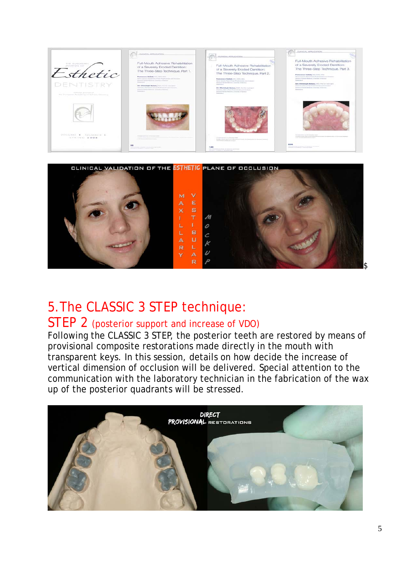



## 5.The CLASSIC 3 STEP technique:

#### STEP 2 (posterior support and increase of VDO)

Following the CLASSIC 3 STEP, the posterior teeth are restored by means of provisional composite restorations made directly in the mouth with transparent keys. In this session, details on how decide the increase of vertical dimension of occlusion will be delivered. Special attention to the communication with the laboratory technician in the fabrication of the wax up of the posterior quadrants will be stressed.

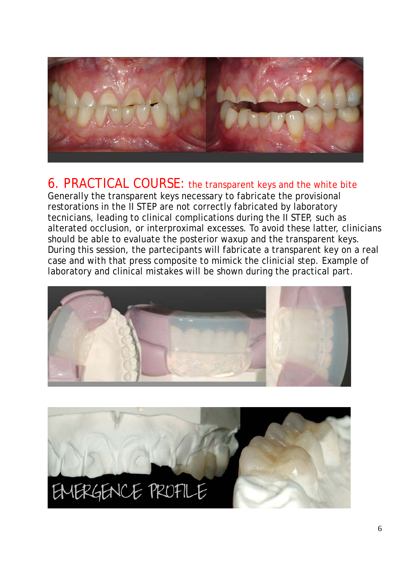

#### 6. PRACTICAL COURSE: the transparent keys and the white bite

Generally the transparent keys necessary to fabricate the provisional restorations in the II STEP are not correctly fabricated by laboratory tecnicians, leading to clinical complications during the II STEP, such as alterated occlusion, or interproximal excesses. To avoid these latter, clinicians should be able to evaluate the posterior waxup and the transparent keys. During this session, the partecipants will fabricate a transparent key on a real case and with that press composite to mimick the clinicial step. Example of laboratory and clinical mistakes will be shown during the practical part.



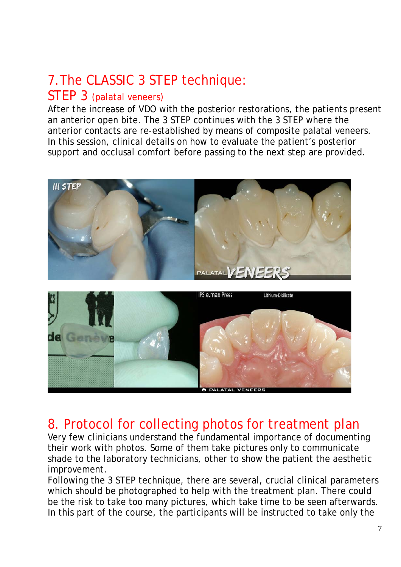## 7.The CLASSIC 3 STEP technique:

#### STEP 3 (palatal veneers)

After the increase of VDO with the posterior restorations, the patients present an anterior open bite. The 3 STEP continues with the 3 STEP where the anterior contacts are re-established by means of composite palatal veneers. In this session, clinical details on how to evaluate the patient's posterior support and occlusal comfort before passing to the next step are provided.





#### 8. Protocol for collecting photos for treatment plan

Very few clinicians understand the fundamental importance of documenting their work with photos. Some of them take pictures only to communicate shade to the laboratory technicians, other to show the patient the aesthetic improvement.

Following the 3 STEP technique, there are several, crucial clinical parameters which should be photographed to help with the treatment plan. There could be the risk to take too many pictures, which take time to be seen afterwards. In this part of the course, the participants will be instructed to take only the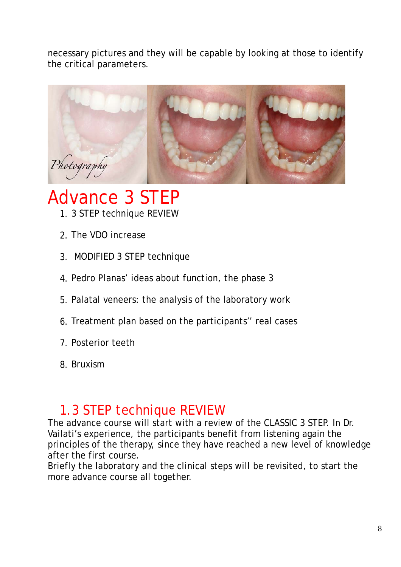necessary pictures and they will be capable by looking at those to identify the critical parameters.



## Advance 3 STEP

- 1. 3 STEP technique REVIEW
- 2. The VDO increase
- 3. MODIFIED 3 STEP technique
- 4. Pedro Planas' ideas about function, the phase 3
- 5. Palatal veneers: the analysis of the laboratory work
- 6. Treatment plan based on the participants'' real cases
- 7. Posterior teeth
- 8. Bruxism

### 1.3 STEP technique REVIEW

The advance course will start with a review of the CLASSIC 3 STEP. In Dr. Vailati's experience, the participants benefit from listening again the principles of the therapy, since they have reached a new level of knowledge after the first course.

Briefly the laboratory and the clinical steps will be revisited, to start the more advance course all together.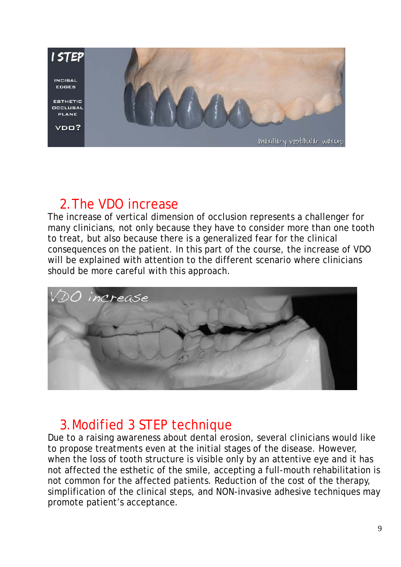

#### 2.The VDO increase

The increase of vertical dimension of occlusion represents a challenger for many clinicians, not only because they have to consider more than one tooth to treat, but also because there is a generalized fear for the clinical consequences on the patient. In this part of the course, the increase of VDO will be explained with attention to the different scenario where clinicians should be more careful with this approach.



#### 3.Modified 3 STEP technique

Due to a raising awareness about dental erosion, several clinicians would like to propose treatments even at the initial stages of the disease. However, when the loss of tooth structure is visible only by an attentive eye and it has not affected the esthetic of the smile, accepting a full-mouth rehabilitation is not common for the affected patients. Reduction of the cost of the therapy, simplification of the clinical steps, and NON-invasive adhesive techniques may promote patient's acceptance.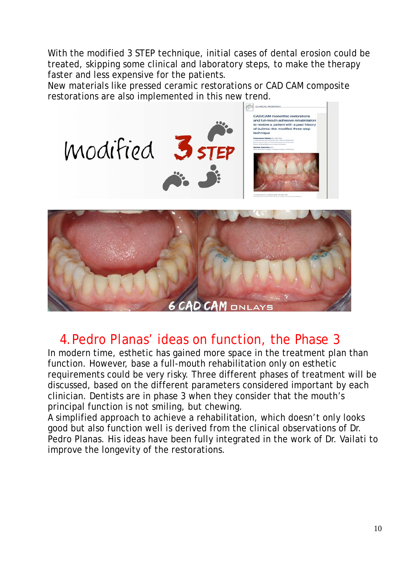With the modified 3 STEP technique, initial cases of dental erosion could be treated, skipping some clinical and laboratory steps, to make the therapy faster and less expensive for the patients.

New materials like pressed ceramic restorations or CAD CAM composite restorations are also implemented in this new trend.





### 4.Pedro Planas' ideas on function, the Phase 3

In modern time, esthetic has gained more space in the treatment plan than function. However, base a full-mouth rehabilitation only on esthetic requirements could be very risky. Three different phases of treatment will be discussed, based on the different parameters considered important by each clinician. Dentists are in phase 3 when they consider that the mouth's principal function is not smiling, but chewing.

A simplified approach to achieve a rehabilitation, which doesn't only looks good but also function well is derived from the clinical observations of Dr. Pedro Planas. His ideas have been fully integrated in the work of Dr. Vailati to improve the longevity of the restorations.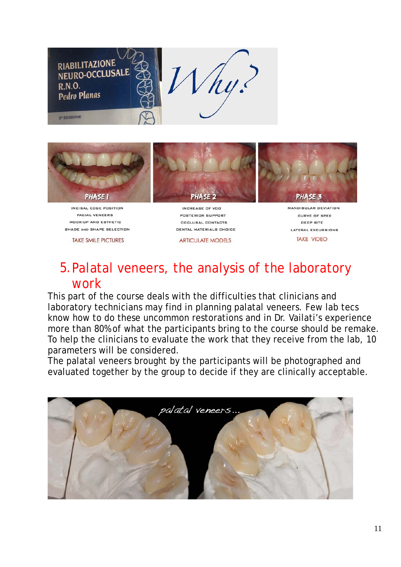



INCISAL EDGE POSITION FACIAL VENEERS MOCK-UP AND ESTHETIC SHADE AND SHAPE SELECTION

**TAKE SMILE PICTURES** 

INCREASE OF VDD POSTERIOR SUPPORT **DCCLUSAL CONTACTS** DENTAL MATERIALS CHOICE

**ARTICULATE MODELS** 



MANDIBULAR DEVIATION CURVE OF SPEE DEEP BITE **LATERAL EXCURSIONS TAKE VIDEO** 

#### 5.Palatal veneers, the analysis of the laboratory work

This part of the course deals with the difficulties that clinicians and laboratory technicians may find in planning palatal veneers. Few lab tecs know how to do these uncommon restorations and in Dr. Vailati's experience more than 80% of what the participants bring to the course should be remake. To help the clinicians to evaluate the work that they receive from the lab, 10 parameters will be considered.

The palatal veneers brought by the participants will be photographed and evaluated together by the group to decide if they are clinically acceptable.

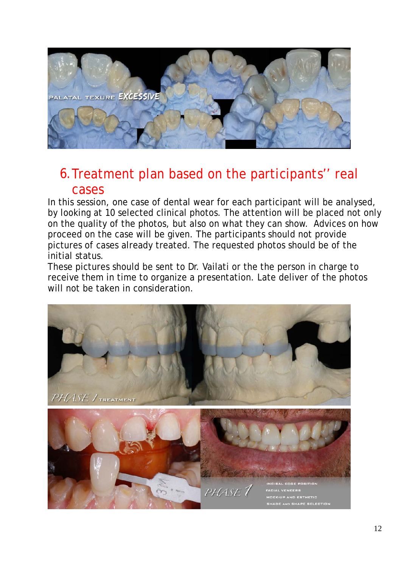

#### 6.Treatment plan based on the participants'' real cases

In this session, one case of dental wear for each participant will be analysed, by looking at 10 selected clinical photos. The attention will be placed not only on the quality of the photos, but also on what they can show. Advices on how proceed on the case will be given. The participants should not provide pictures of cases already treated. The requested photos should be of the initial status.

These pictures should be sent to Dr. Vailati or the the person in charge to receive them in time to organize a presentation. Late deliver of the photos will not be taken in consideration.

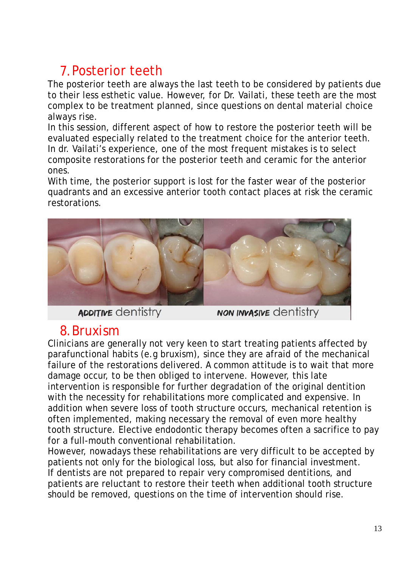## 7.Posterior teeth

The posterior teeth are always the last teeth to be considered by patients due to their less esthetic value. However, for Dr. Vailati, these teeth are the most complex to be treatment planned, since questions on dental material choice always rise.

In this session, different aspect of how to restore the posterior teeth will be evaluated especially related to the treatment choice for the anterior teeth. In dr. Vailati's experience, one of the most frequent mistakes is to select composite restorations for the posterior teeth and ceramic for the anterior ones.

With time, the posterior support is lost for the faster wear of the posterior quadrants and an excessive anterior tooth contact places at risk the ceramic restorations.



**ADDITIVE** dentistry

**NON INVASIVE CONTISTRY** 

### 8.Bruxism

Clinicians are generally not very keen to start treating patients affected by parafunctional habits (e.g bruxism), since they are afraid of the mechanical failure of the restorations delivered. A common attitude is to wait that more damage occur, to be then obliged to intervene. However, this late intervention is responsible for further degradation of the original dentition with the necessity for rehabilitations more complicated and expensive. In addition when severe loss of tooth structure occurs, mechanical retention is often implemented, making necessary the removal of even more healthy tooth structure. Elective endodontic therapy becomes often a sacrifice to pay for a full-mouth conventional rehabilitation.

However, nowadays these rehabilitations are very difficult to be accepted by patients not only for the biological loss, but also for financial investment. If dentists are not prepared to repair very compromised dentitions, and patients are reluctant to restore their teeth when additional tooth structure should be removed, questions on the time of intervention should rise.